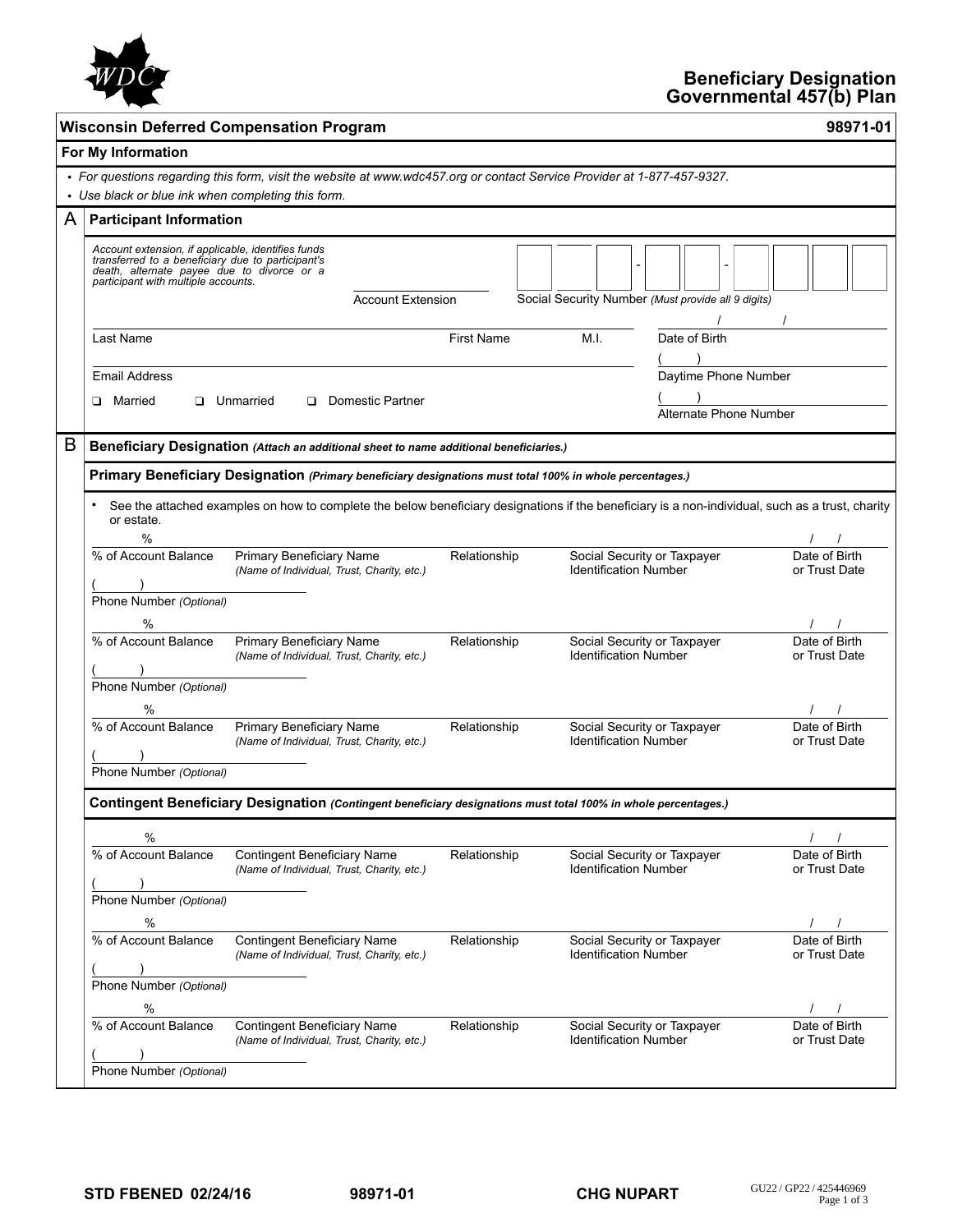

|                                                                                                                                                                                              | <b>Wisconsin Deferred Compensation Program</b>                                                                                                   |                                                    |                              |                              | 98971-01                       |  |  |  |  |  |
|----------------------------------------------------------------------------------------------------------------------------------------------------------------------------------------------|--------------------------------------------------------------------------------------------------------------------------------------------------|----------------------------------------------------|------------------------------|------------------------------|--------------------------------|--|--|--|--|--|
| For My Information                                                                                                                                                                           |                                                                                                                                                  |                                                    |                              |                              |                                |  |  |  |  |  |
|                                                                                                                                                                                              | - For questions regarding this form, visit the website at www.wdc457.org or contact Service Provider at 1-877-457-9327.                          |                                                    |                              |                              |                                |  |  |  |  |  |
|                                                                                                                                                                                              | • Use black or blue ink when completing this form.                                                                                               |                                                    |                              |                              |                                |  |  |  |  |  |
| A                                                                                                                                                                                            | <b>Participant Information</b>                                                                                                                   |                                                    |                              |                              |                                |  |  |  |  |  |
| Account extension, if applicable, identifies funds<br>transferred to a beneficiary due to participant's<br>death, alternate payee due to divorce or a<br>participant with multiple accounts. |                                                                                                                                                  | <b>Account Extension</b>                           |                              |                              |                                |  |  |  |  |  |
|                                                                                                                                                                                              |                                                                                                                                                  | Social Security Number (Must provide all 9 digits) |                              |                              |                                |  |  |  |  |  |
| Last Name                                                                                                                                                                                    |                                                                                                                                                  | <b>First Name</b>                                  | M.I.                         | Date of Birth                |                                |  |  |  |  |  |
|                                                                                                                                                                                              |                                                                                                                                                  |                                                    |                              |                              |                                |  |  |  |  |  |
| <b>Email Address</b>                                                                                                                                                                         |                                                                                                                                                  |                                                    |                              | Daytime Phone Number         |                                |  |  |  |  |  |
| Married<br>❏                                                                                                                                                                                 | <b>Q</b> Unmarried                                                                                                                               | Domestic Partner                                   |                              |                              |                                |  |  |  |  |  |
|                                                                                                                                                                                              |                                                                                                                                                  |                                                    |                              | Alternate Phone Number       |                                |  |  |  |  |  |
| B                                                                                                                                                                                            | Beneficiary Designation (Attach an additional sheet to name additional beneficiaries.)                                                           |                                                    |                              |                              |                                |  |  |  |  |  |
|                                                                                                                                                                                              |                                                                                                                                                  |                                                    |                              |                              |                                |  |  |  |  |  |
|                                                                                                                                                                                              | Primary Beneficiary Designation (Primary beneficiary designations must total 100% in whole percentages.)                                         |                                                    |                              |                              |                                |  |  |  |  |  |
| or estate.                                                                                                                                                                                   | See the attached examples on how to complete the below beneficiary designations if the beneficiary is a non-individual, such as a trust, charity |                                                    |                              |                              |                                |  |  |  |  |  |
| %                                                                                                                                                                                            |                                                                                                                                                  |                                                    |                              |                              |                                |  |  |  |  |  |
| % of Account Balance                                                                                                                                                                         | Primary Beneficiary Name<br>(Name of Individual, Trust, Charity, etc.)                                                                           | Relationship                                       | <b>Identification Number</b> | Social Security or Taxpayer  | Date of Birth<br>or Trust Date |  |  |  |  |  |
|                                                                                                                                                                                              |                                                                                                                                                  |                                                    |                              |                              |                                |  |  |  |  |  |
|                                                                                                                                                                                              | Phone Number (Optional)                                                                                                                          |                                                    |                              |                              |                                |  |  |  |  |  |
| %                                                                                                                                                                                            |                                                                                                                                                  |                                                    |                              |                              |                                |  |  |  |  |  |
| % of Account Balance                                                                                                                                                                         | Primary Beneficiary Name<br>(Name of Individual, Trust, Charity, etc.)                                                                           | Relationship                                       | <b>Identification Number</b> | Social Security or Taxpayer  | Date of Birth<br>or Trust Date |  |  |  |  |  |
|                                                                                                                                                                                              |                                                                                                                                                  |                                                    |                              |                              |                                |  |  |  |  |  |
| Phone Number (Optional)                                                                                                                                                                      |                                                                                                                                                  |                                                    |                              |                              |                                |  |  |  |  |  |
| %<br>% of Account Balance                                                                                                                                                                    | Primary Beneficiary Name                                                                                                                         | Relationship                                       |                              | Social Security or Taxpayer  | Date of Birth                  |  |  |  |  |  |
|                                                                                                                                                                                              | (Name of Individual, Trust, Charity, etc.)                                                                                                       |                                                    | <b>Identification Number</b> |                              | or Trust Date                  |  |  |  |  |  |
|                                                                                                                                                                                              |                                                                                                                                                  |                                                    |                              |                              |                                |  |  |  |  |  |
| Phone Number (Optional)                                                                                                                                                                      |                                                                                                                                                  |                                                    |                              |                              |                                |  |  |  |  |  |
|                                                                                                                                                                                              | Contingent Beneficiary Designation (Contingent beneficiary designations must total 100% in whole percentages.)                                   |                                                    |                              |                              |                                |  |  |  |  |  |
|                                                                                                                                                                                              |                                                                                                                                                  |                                                    |                              |                              |                                |  |  |  |  |  |
| %<br>% of Account Balance                                                                                                                                                                    | <b>Contingent Beneficiary Name</b>                                                                                                               | Relationship                                       |                              | Social Security or Taxpayer  | Date of Birth                  |  |  |  |  |  |
|                                                                                                                                                                                              | (Name of Individual, Trust, Charity, etc.)                                                                                                       |                                                    | <b>Identification Number</b> |                              | or Trust Date                  |  |  |  |  |  |
| Phone Number (Optional)                                                                                                                                                                      |                                                                                                                                                  |                                                    |                              |                              |                                |  |  |  |  |  |
| $\%$                                                                                                                                                                                         |                                                                                                                                                  |                                                    |                              |                              |                                |  |  |  |  |  |
| % of Account Balance                                                                                                                                                                         | <b>Contingent Beneficiary Name</b>                                                                                                               | Relationship                                       |                              | Social Security or Taxpayer  | Date of Birth                  |  |  |  |  |  |
|                                                                                                                                                                                              | (Name of Individual, Trust, Charity, etc.)                                                                                                       |                                                    | <b>Identification Number</b> |                              | or Trust Date                  |  |  |  |  |  |
| Phone Number (Optional)                                                                                                                                                                      |                                                                                                                                                  |                                                    |                              |                              |                                |  |  |  |  |  |
| $\frac{0}{0}$                                                                                                                                                                                |                                                                                                                                                  |                                                    |                              |                              |                                |  |  |  |  |  |
| % of Account Balance                                                                                                                                                                         | <b>Contingent Beneficiary Name</b>                                                                                                               | Relationship                                       |                              | Social Security or Taxpayer  | Date of Birth                  |  |  |  |  |  |
|                                                                                                                                                                                              | (Name of Individual, Trust, Charity, etc.)                                                                                                       |                                                    |                              | <b>Identification Number</b> | or Trust Date                  |  |  |  |  |  |
|                                                                                                                                                                                              |                                                                                                                                                  |                                                    |                              |                              |                                |  |  |  |  |  |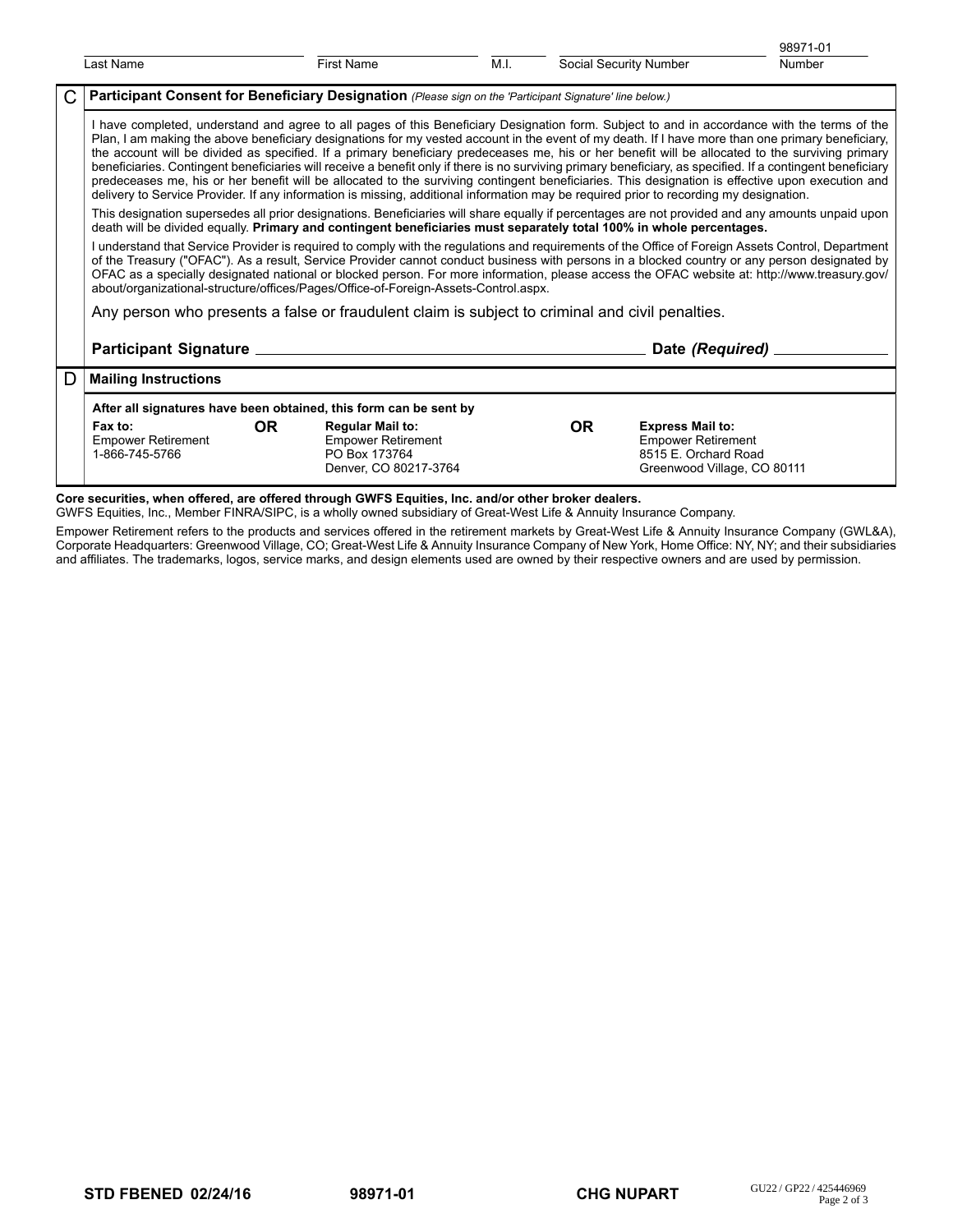|   |                                                                                                                                                                                                                                                                                                                                                                                                                                                                                                                                                                                                                                                                                                                                                                                                                                                                                                                    |     |                                                                                                |      |                        |                                                                                                             | 98971-01 |  |
|---|--------------------------------------------------------------------------------------------------------------------------------------------------------------------------------------------------------------------------------------------------------------------------------------------------------------------------------------------------------------------------------------------------------------------------------------------------------------------------------------------------------------------------------------------------------------------------------------------------------------------------------------------------------------------------------------------------------------------------------------------------------------------------------------------------------------------------------------------------------------------------------------------------------------------|-----|------------------------------------------------------------------------------------------------|------|------------------------|-------------------------------------------------------------------------------------------------------------|----------|--|
|   | Last Name                                                                                                                                                                                                                                                                                                                                                                                                                                                                                                                                                                                                                                                                                                                                                                                                                                                                                                          |     | <b>First Name</b>                                                                              | M.I. | Social Security Number |                                                                                                             | Number   |  |
|   | Participant Consent for Beneficiary Designation (Please sign on the 'Participant Signature' line below.)                                                                                                                                                                                                                                                                                                                                                                                                                                                                                                                                                                                                                                                                                                                                                                                                           |     |                                                                                                |      |                        |                                                                                                             |          |  |
|   | I have completed, understand and agree to all pages of this Beneficiary Designation form. Subject to and in accordance with the terms of the<br>Plan, I am making the above beneficiary designations for my vested account in the event of my death. If I have more than one primary beneficiary,<br>the account will be divided as specified. If a primary beneficiary predeceases me, his or her benefit will be allocated to the surviving primary<br>beneficiaries. Contingent beneficiaries will receive a benefit only if there is no surviving primary beneficiary, as specified. If a contingent beneficiary<br>predeceases me, his or her benefit will be allocated to the surviving contingent beneficiaries. This designation is effective upon execution and<br>delivery to Service Provider. If any information is missing, additional information may be required prior to recording my designation. |     |                                                                                                |      |                        |                                                                                                             |          |  |
|   | This designation supersedes all prior designations. Beneficiaries will share equally if percentages are not provided and any amounts unpaid upon<br>death will be divided equally. Primary and contingent beneficiaries must separately total 100% in whole percentages.                                                                                                                                                                                                                                                                                                                                                                                                                                                                                                                                                                                                                                           |     |                                                                                                |      |                        |                                                                                                             |          |  |
|   | I understand that Service Provider is required to comply with the regulations and requirements of the Office of Foreign Assets Control, Department<br>of the Treasury ("OFAC"). As a result, Service Provider cannot conduct business with persons in a blocked country or any person designated by<br>OFAC as a specially designated national or blocked person. For more information, please access the OFAC website at: http://www.treasury.gov/<br>about/organizational-structure/offices/Pages/Office-of-Foreign-Assets-Control.aspx.                                                                                                                                                                                                                                                                                                                                                                         |     |                                                                                                |      |                        |                                                                                                             |          |  |
|   | Any person who presents a false or fraudulent claim is subject to criminal and civil penalties.                                                                                                                                                                                                                                                                                                                                                                                                                                                                                                                                                                                                                                                                                                                                                                                                                    |     |                                                                                                |      |                        |                                                                                                             |          |  |
|   |                                                                                                                                                                                                                                                                                                                                                                                                                                                                                                                                                                                                                                                                                                                                                                                                                                                                                                                    |     |                                                                                                |      | Date (Required) $\_$   |                                                                                                             |          |  |
| D | <b>Mailing Instructions</b>                                                                                                                                                                                                                                                                                                                                                                                                                                                                                                                                                                                                                                                                                                                                                                                                                                                                                        |     |                                                                                                |      |                        |                                                                                                             |          |  |
|   | After all signatures have been obtained, this form can be sent by                                                                                                                                                                                                                                                                                                                                                                                                                                                                                                                                                                                                                                                                                                                                                                                                                                                  |     |                                                                                                |      |                        |                                                                                                             |          |  |
|   | Fax to:<br><b>Empower Retirement</b><br>1-866-745-5766                                                                                                                                                                                                                                                                                                                                                                                                                                                                                                                                                                                                                                                                                                                                                                                                                                                             | OR. | <b>Regular Mail to:</b><br><b>Empower Retirement</b><br>PO Box 173764<br>Denver, CO 80217-3764 |      | <b>OR</b>              | <b>Express Mail to:</b><br><b>Empower Retirement</b><br>8515 E. Orchard Road<br>Greenwood Village, CO 80111 |          |  |

**Core securities, when offered, are offered through GWFS Equities, Inc. and/or other broker dealers.**

GWFS Equities, Inc., Member FINRA/SIPC, is a wholly owned subsidiary of Great-West Life & Annuity Insurance Company.

Empower Retirement refers to the products and services offered in the retirement markets by Great-West Life & Annuity Insurance Company (GWL&A), Corporate Headquarters: Greenwood Village, CO; Great-West Life & Annuity Insurance Company of New York, Home Office: NY, NY; and their subsidiaries and affiliates. The trademarks, logos, service marks, and design elements used are owned by their respective owners and are used by permission.